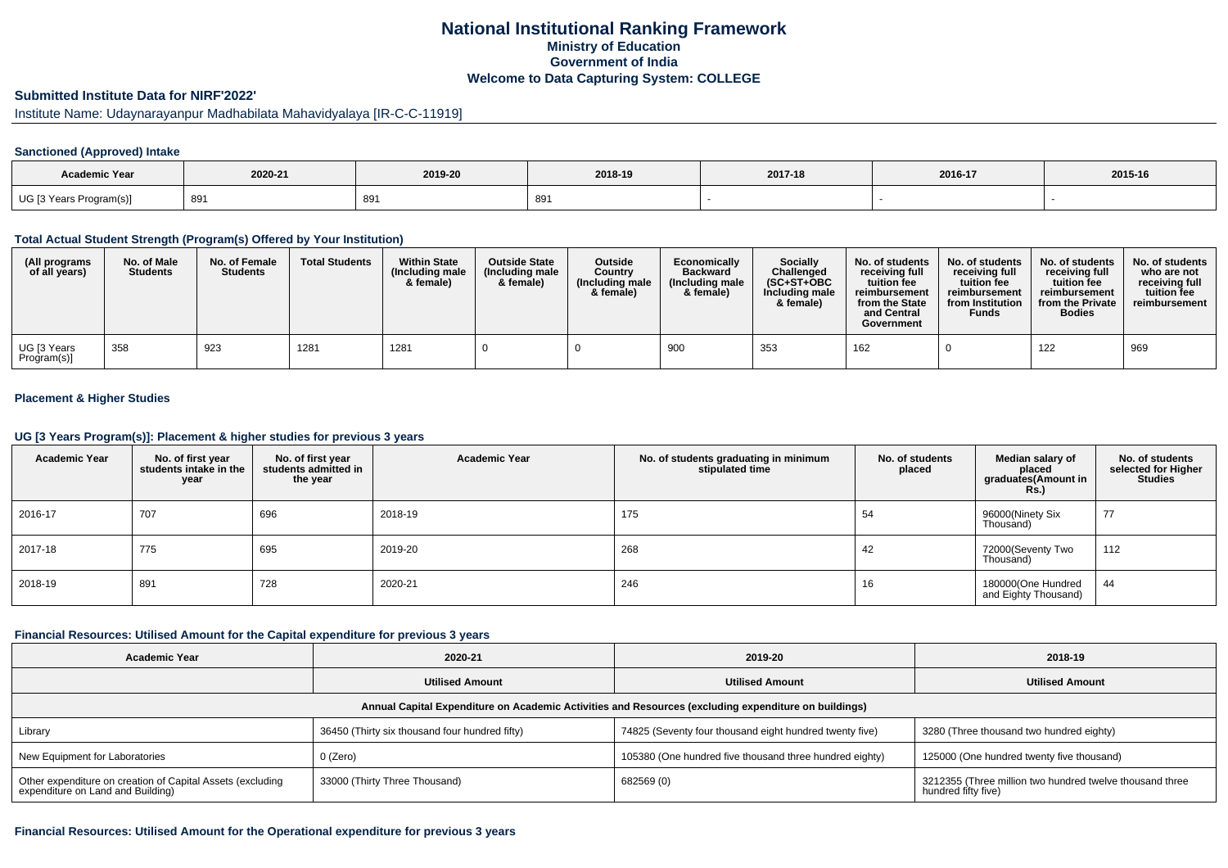## **National Institutional Ranking FrameworkMinistry of Education Government of IndiaWelcome to Data Capturing System: COLLEGE**

### **Submitted Institute Data for NIRF'2022'**

## Institute Name: Udaynarayanpur Madhabilata Mahavidyalaya [IR-C-C-11919]

#### **Sanctioned (Approved) Intake**

| Academic Year               |         |         |          |         |         |         |
|-----------------------------|---------|---------|----------|---------|---------|---------|
|                             | 2020-21 | 2019-20 | 2018-19  | 2017-18 | 2016-17 | 2015-16 |
| UG [3 Years F<br>Program(s) | 891     | 891     | or<br>ರಿ |         |         |         |

### **Total Actual Student Strength (Program(s) Offered by Your Institution)**

| (All programs<br>of all years) | No. of Male<br><b>Students</b> | No. of Female<br><b>Students</b> | <b>Total Students</b> | <b>Within State</b><br>(Including male<br>& female) | <b>Outside State</b><br>(Including male<br>& female) | <b>Outside</b><br>Country<br>(Including male<br>& female) | Economically<br><b>Backward</b><br>(Including male<br>& female) | <b>Socially</b><br>Challenged<br>$(SC+ST+OBC$<br>Including male<br>& female) | No. of students<br>receiving full<br>tuition fee<br>reimbursement<br>from the State<br>and Central<br>Government | No. of students<br>receiving full<br>tuition fee<br>reimbursement<br>from Institution<br><b>Funds</b> | No. of students<br>receiving full<br>tuition fee<br>reimbursement<br>from the Private<br><b>Bodies</b> | No. of students<br>who are not<br>receiving full<br>tuition fee<br>reimbursement |
|--------------------------------|--------------------------------|----------------------------------|-----------------------|-----------------------------------------------------|------------------------------------------------------|-----------------------------------------------------------|-----------------------------------------------------------------|------------------------------------------------------------------------------|------------------------------------------------------------------------------------------------------------------|-------------------------------------------------------------------------------------------------------|--------------------------------------------------------------------------------------------------------|----------------------------------------------------------------------------------|
| UG [3 Years<br>Program(s)]     | 358                            | 923                              | 1281                  | 1281                                                |                                                      |                                                           | 900                                                             | 353                                                                          | 162                                                                                                              |                                                                                                       | 122                                                                                                    | 969                                                                              |

### **Placement & Higher Studies**

#### **UG [3 Years Program(s)]: Placement & higher studies for previous 3 years**

| <b>Academic Year</b> | No. of first year<br>students intake in the<br>year | No. of first year<br>students admitted in<br>the year | <b>Academic Year</b> | No. of students graduating in minimum<br>stipulated time | No. of students<br>placed | Median salary of<br>placed<br>graduates(Amount in<br><b>Rs.)</b> | No. of students<br>selected for Higher<br><b>Studies</b> |
|----------------------|-----------------------------------------------------|-------------------------------------------------------|----------------------|----------------------------------------------------------|---------------------------|------------------------------------------------------------------|----------------------------------------------------------|
| 2016-17              | 707                                                 | 696                                                   | 2018-19              | 175                                                      | 54                        | 96000(Ninety Six<br>Thousand)                                    | 77                                                       |
| 2017-18              | 775                                                 | 695                                                   | 2019-20              | 268                                                      | 42                        | 72000(Seventy Two<br>Thousand)                                   | 112                                                      |
| 2018-19              | 891                                                 | 728                                                   | 2020-21              | 246                                                      | 16                        | 180000(One Hundred<br>and Eighty Thousand)                       | 44                                                       |

### **Financial Resources: Utilised Amount for the Capital expenditure for previous 3 years**

| <b>Academic Year</b>                                                                                 | 2020-21                                        | 2019-20                                                 | 2018-19                                                                         |  |  |  |  |  |  |
|------------------------------------------------------------------------------------------------------|------------------------------------------------|---------------------------------------------------------|---------------------------------------------------------------------------------|--|--|--|--|--|--|
|                                                                                                      | <b>Utilised Amount</b>                         | <b>Utilised Amount</b>                                  | <b>Utilised Amount</b>                                                          |  |  |  |  |  |  |
| Annual Capital Expenditure on Academic Activities and Resources (excluding expenditure on buildings) |                                                |                                                         |                                                                                 |  |  |  |  |  |  |
| Library                                                                                              | 36450 (Thirty six thousand four hundred fifty) | 74825 (Seventy four thousand eight hundred twenty five) | 3280 (Three thousand two hundred eighty)                                        |  |  |  |  |  |  |
| New Equipment for Laboratories                                                                       | 0 (Zero)                                       | 105380 (One hundred five thousand three hundred eighty) | 125000 (One hundred twenty five thousand)                                       |  |  |  |  |  |  |
| Other expenditure on creation of Capital Assets (excluding<br>expenditure on Land and Building)      | 33000 (Thirty Three Thousand)                  | 682569 (0)                                              | 3212355 (Three million two hundred twelve thousand three<br>hundred fifty five) |  |  |  |  |  |  |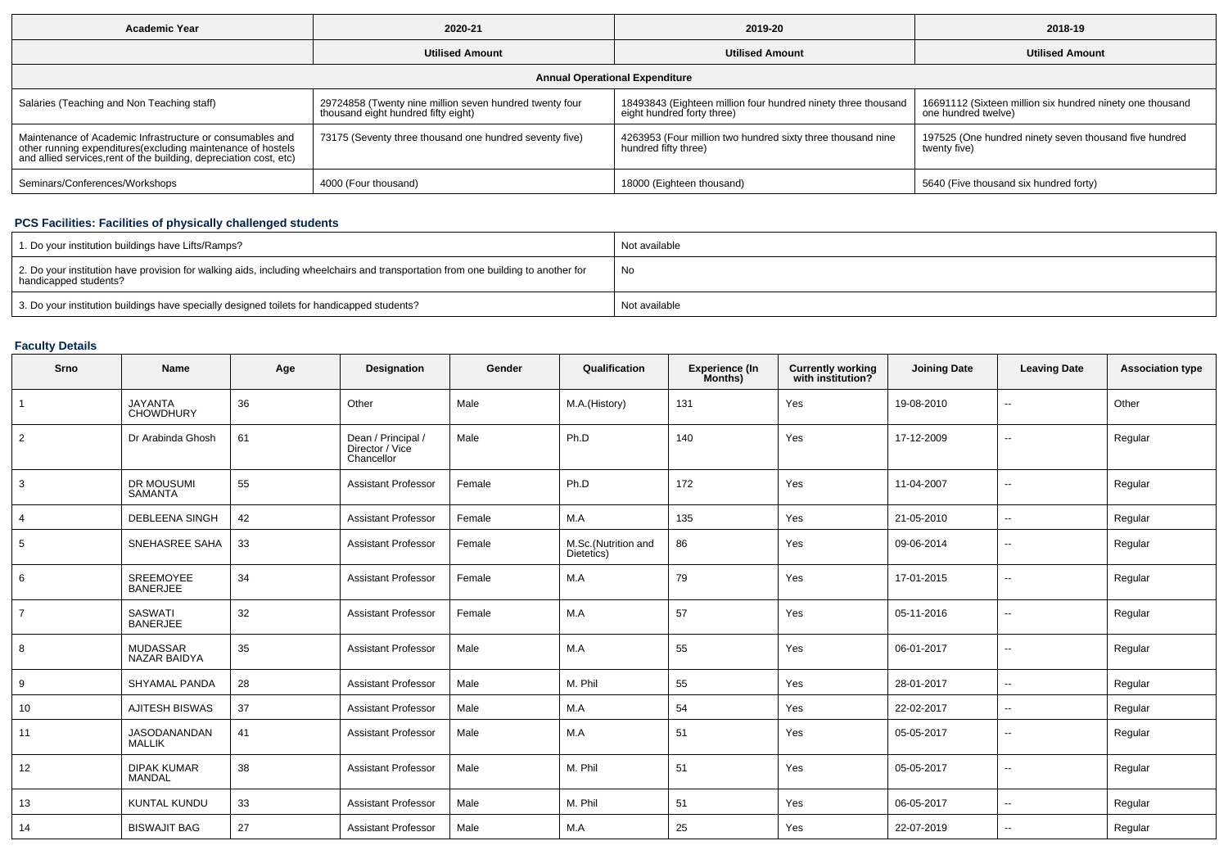| <b>Academic Year</b>                                                                                                                                                                           | 2020-21                                                                                        | 2019-20                                                                                     | 2018-19                                                                          |  |  |  |  |  |  |  |
|------------------------------------------------------------------------------------------------------------------------------------------------------------------------------------------------|------------------------------------------------------------------------------------------------|---------------------------------------------------------------------------------------------|----------------------------------------------------------------------------------|--|--|--|--|--|--|--|
|                                                                                                                                                                                                | <b>Utilised Amount</b>                                                                         | <b>Utilised Amount</b>                                                                      | <b>Utilised Amount</b>                                                           |  |  |  |  |  |  |  |
| <b>Annual Operational Expenditure</b>                                                                                                                                                          |                                                                                                |                                                                                             |                                                                                  |  |  |  |  |  |  |  |
| Salaries (Teaching and Non Teaching staff)                                                                                                                                                     | 29724858 (Twenty nine million seven hundred twenty four<br>thousand eight hundred fifty eight) | 18493843 (Eighteen million four hundred ninety three thousand<br>eight hundred forty three) | 16691112 (Sixteen million six hundred ninety one thousand<br>one hundred twelve) |  |  |  |  |  |  |  |
| Maintenance of Academic Infrastructure or consumables and<br>other running expenditures(excluding maintenance of hostels<br>and allied services, rent of the building, depreciation cost, etc) | 73175 (Seventy three thousand one hundred seventy five)                                        | 4263953 (Four million two hundred sixty three thousand nine<br>hundred fifty three)         | 197525 (One hundred ninety seven thousand five hundred<br>twenty five)           |  |  |  |  |  |  |  |
| Seminars/Conferences/Workshops                                                                                                                                                                 | 4000 (Four thousand)                                                                           | 18000 (Eighteen thousand)                                                                   | 5640 (Five thousand six hundred forty)                                           |  |  |  |  |  |  |  |

# **PCS Facilities: Facilities of physically challenged students**

| 1. Do your institution buildings have Lifts/Ramps?                                                                                                         | Not available |
|------------------------------------------------------------------------------------------------------------------------------------------------------------|---------------|
| 2. Do your institution have provision for walking aids, including wheelchairs and transportation from one building to another for<br>handicapped students? | No            |
| 3. Do your institution buildings have specially designed toilets for handicapped students?                                                                 | Not available |

# **Faculty Details**

| Srno           | Name                                 | Age | Designation                                         | Gender | Qualification                     | <b>Experience (In</b><br>Months) | <b>Currently working</b><br>with institution? | <b>Joining Date</b> | <b>Leaving Date</b>      | <b>Association type</b> |
|----------------|--------------------------------------|-----|-----------------------------------------------------|--------|-----------------------------------|----------------------------------|-----------------------------------------------|---------------------|--------------------------|-------------------------|
| $\mathbf{1}$   | <b>JAYANTA</b><br><b>CHOWDHURY</b>   | 36  | Other                                               | Male   | M.A.(History)                     | 131                              | Yes                                           | 19-08-2010          | $\overline{\phantom{a}}$ | Other                   |
| 2              | Dr Arabinda Ghosh                    | 61  | Dean / Principal /<br>Director / Vice<br>Chancellor | Male   | Ph.D                              | 140                              | Yes                                           | 17-12-2009          | $\overline{\phantom{a}}$ | Regular                 |
| 3              | <b>DR MOUSUMI</b><br><b>SAMANTA</b>  | 55  | <b>Assistant Professor</b>                          | Female | Ph.D                              | 172                              | Yes                                           | 11-04-2007          | $\overline{a}$           | Regular                 |
| 4              | <b>DEBLEENA SINGH</b>                | 42  | <b>Assistant Professor</b>                          | Female | M.A                               | 135                              | Yes                                           | 21-05-2010          | $\overline{\phantom{a}}$ | Regular                 |
| 5              | SNEHASREE SAHA                       | 33  | <b>Assistant Professor</b>                          | Female | M.Sc.(Nutrition and<br>Dietetics) | 86                               | Yes                                           | 09-06-2014          | $\overline{\phantom{a}}$ | Regular                 |
| 6              | SREEMOYEE<br><b>BANERJEE</b>         | 34  | <b>Assistant Professor</b>                          | Female | M.A                               | 79                               | Yes                                           | 17-01-2015          | $\overline{\phantom{a}}$ | Regular                 |
| $\overline{7}$ | SASWATI<br><b>BANERJEE</b>           | 32  | <b>Assistant Professor</b>                          | Female | M.A                               | 57                               | Yes                                           | 05-11-2016          | --                       | Regular                 |
| 8              | <b>MUDASSAR</b><br>NAZAR BAIDYA      | 35  | <b>Assistant Professor</b>                          | Male   | M.A                               | 55                               | Yes                                           | 06-01-2017          | $\overline{\phantom{a}}$ | Regular                 |
| 9              | SHYAMAL PANDA                        | 28  | <b>Assistant Professor</b>                          | Male   | M. Phil                           | 55                               | Yes                                           | 28-01-2017          | $\overline{\phantom{a}}$ | Regular                 |
| 10             | <b>AJITESH BISWAS</b>                | 37  | <b>Assistant Professor</b>                          | Male   | M.A                               | 54                               | Yes                                           | 22-02-2017          | $\overline{\phantom{a}}$ | Regular                 |
| 11             | <b>JASODANANDAN</b><br><b>MALLIK</b> | 41  | <b>Assistant Professor</b>                          | Male   | M.A                               | 51                               | Yes                                           | 05-05-2017          | $\overline{\phantom{a}}$ | Regular                 |
| 12             | <b>DIPAK KUMAR</b><br><b>MANDAL</b>  | 38  | <b>Assistant Professor</b>                          | Male   | M. Phil                           | 51                               | Yes                                           | 05-05-2017          | --                       | Regular                 |
| 13             | <b>KUNTAL KUNDU</b>                  | 33  | <b>Assistant Professor</b>                          | Male   | M. Phil                           | 51                               | Yes                                           | 06-05-2017          | $\overline{\phantom{a}}$ | Regular                 |
| 14             | <b>BISWAJIT BAG</b>                  | 27  | <b>Assistant Professor</b>                          | Male   | M.A                               | 25                               | Yes                                           | 22-07-2019          | $\overline{\phantom{a}}$ | Regular                 |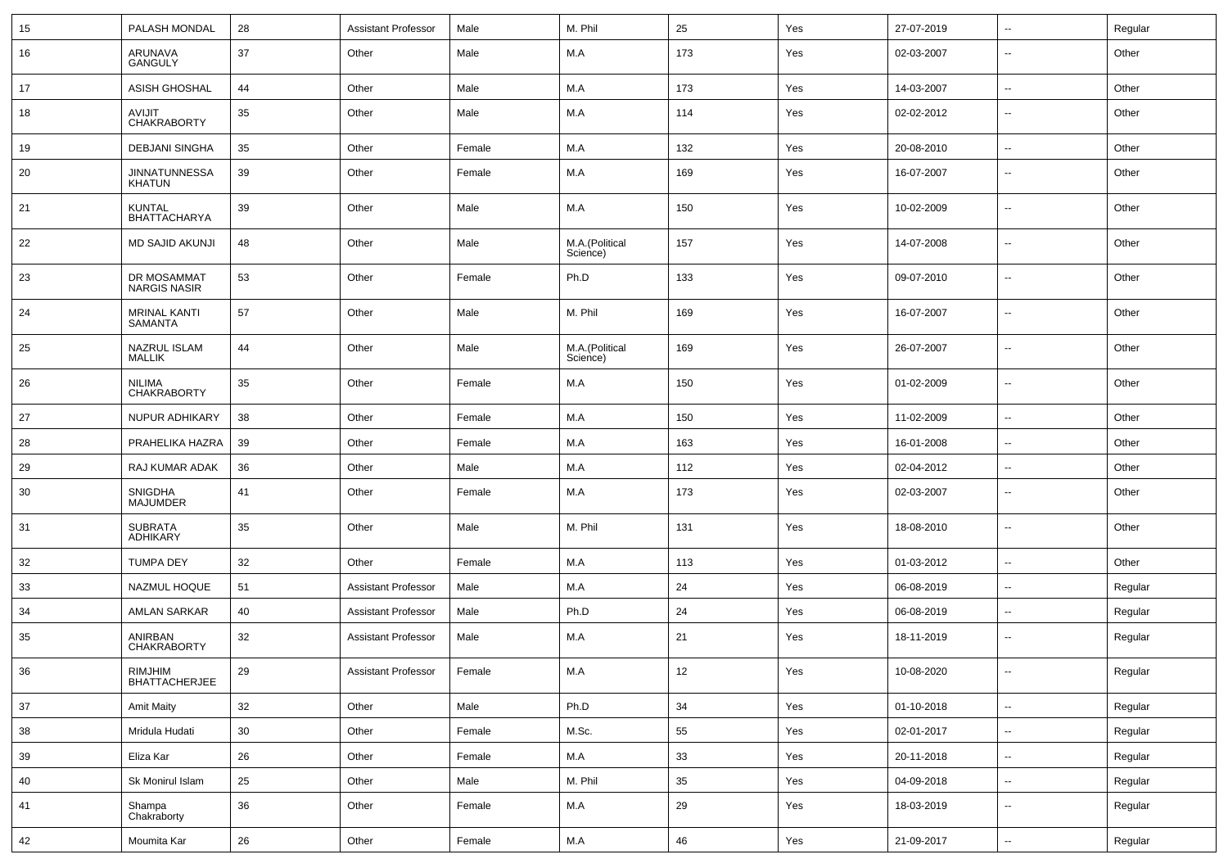| 15 | PALASH MONDAL                         | 28     | <b>Assistant Professor</b> | Male   | M. Phil                    | 25          | Yes | 27-07-2019 | $\overline{\phantom{a}}$ | Regular |
|----|---------------------------------------|--------|----------------------------|--------|----------------------------|-------------|-----|------------|--------------------------|---------|
| 16 | ARUNAVA<br><b>GANGULY</b>             | 37     | Other                      | Male   | M.A                        | 173         | Yes | 02-03-2007 | $\overline{\phantom{a}}$ | Other   |
| 17 | ASISH GHOSHAL                         | 44     | Other                      | Male   | M.A                        | 173         | Yes | 14-03-2007 | ⊷.                       | Other   |
| 18 | <b>AVIJIT</b><br><b>CHAKRABORTY</b>   | 35     | Other                      | Male   | M.A                        | 114         | Yes | 02-02-2012 | ⊷.                       | Other   |
| 19 | <b>DEBJANI SINGHA</b>                 | 35     | Other                      | Female | M.A                        | 132         | Yes | 20-08-2010 | $\overline{\phantom{a}}$ | Other   |
| 20 | <b>JINNATUNNESSA</b><br>KHATUN        | 39     | Other                      | Female | M.A                        | 169         | Yes | 16-07-2007 | --                       | Other   |
| 21 | <b>KUNTAL</b><br><b>BHATTACHARYA</b>  | 39     | Other                      | Male   | M.A                        | 150         | Yes | 10-02-2009 | --                       | Other   |
| 22 | <b>MD SAJID AKUNJI</b>                | 48     | Other                      | Male   | M.A.(Political<br>Science) | 157         | Yes | 14-07-2008 | $\overline{\phantom{a}}$ | Other   |
| 23 | DR MOSAMMAT<br><b>NARGIS NASIR</b>    | 53     | Other                      | Female | Ph.D                       | 133         | Yes | 09-07-2010 | $\overline{\phantom{a}}$ | Other   |
| 24 | <b>MRINAL KANTI</b><br><b>SAMANTA</b> | 57     | Other                      | Male   | M. Phil                    | 169         | Yes | 16-07-2007 | --                       | Other   |
| 25 | NAZRUL ISLAM<br><b>MALLIK</b>         | 44     | Other                      | Male   | M.A.(Political<br>Science) | 169         | Yes | 26-07-2007 | $\overline{\phantom{a}}$ | Other   |
| 26 | <b>NILIMA</b><br><b>CHAKRABORTY</b>   | 35     | Other                      | Female | M.A                        | 150         | Yes | 01-02-2009 | $\overline{\phantom{a}}$ | Other   |
| 27 | NUPUR ADHIKARY                        | 38     | Other                      | Female | M.A                        | 150         | Yes | 11-02-2009 | $\overline{\phantom{a}}$ | Other   |
| 28 | PRAHELIKA HAZRA                       | 39     | Other                      | Female | M.A                        | 163         | Yes | 16-01-2008 | н.                       | Other   |
| 29 | RAJ KUMAR ADAK                        | 36     | Other                      | Male   | M.A                        | 112         | Yes | 02-04-2012 | --                       | Other   |
| 30 | <b>SNIGDHA</b><br><b>MAJUMDER</b>     | 41     | Other                      | Female | M.A                        | 173         | Yes | 02-03-2007 | $\overline{\phantom{a}}$ | Other   |
| 31 | <b>SUBRATA</b><br><b>ADHIKARY</b>     | 35     | Other                      | Male   | M. Phil                    | 131         | Yes | 18-08-2010 | ⊷.                       | Other   |
| 32 | <b>TUMPA DEY</b>                      | 32     | Other                      | Female | M.A                        | 113         | Yes | 01-03-2012 | $\overline{\phantom{a}}$ | Other   |
| 33 | NAZMUL HOQUE                          | 51     | <b>Assistant Professor</b> | Male   | M.A                        | 24          | Yes | 06-08-2019 | $\overline{\phantom{a}}$ | Regular |
| 34 | <b>AMLAN SARKAR</b>                   | 40     | <b>Assistant Professor</b> | Male   | Ph.D                       | 24          | Yes | 06-08-2019 | --                       | Regular |
| 35 | ANIRBAN<br><b>CHAKRABORTY</b>         | 32     | <b>Assistant Professor</b> | Male   | M.A                        | 21          | Yes | 18-11-2019 | $\overline{\phantom{a}}$ | Regular |
| 36 | RIMJHIM<br><b>BHATTACHERJEE</b>       | 29     | Assistant Professor        | Female | M.A                        | 12          | Yes | 10-08-2020 | $\sim$                   | Regular |
| 37 | <b>Amit Maity</b>                     | 32     | Other                      | Male   | Ph.D                       | 34          | Yes | 01-10-2018 | $\overline{\phantom{a}}$ | Regular |
| 38 | Mridula Hudati                        | $30\,$ | Other                      | Female | M.Sc.                      | 55          | Yes | 02-01-2017 | $\sim$                   | Regular |
| 39 | Eliza Kar                             | 26     | Other                      | Female | M.A                        | 33          | Yes | 20-11-2018 | н.                       | Regular |
| 40 | Sk Monirul Islam                      | 25     | Other                      | Male   | M. Phil                    | 35          | Yes | 04-09-2018 | Щ.                       | Regular |
| 41 | Shampa<br>Chakraborty                 | 36     | Other                      | Female | M.A                        | 29          | Yes | 18-03-2019 | $\sim$                   | Regular |
| 42 | Moumita Kar                           | $26\,$ | Other                      | Female | M.A                        | $\sqrt{46}$ | Yes | 21-09-2017 | ₩,                       | Regular |